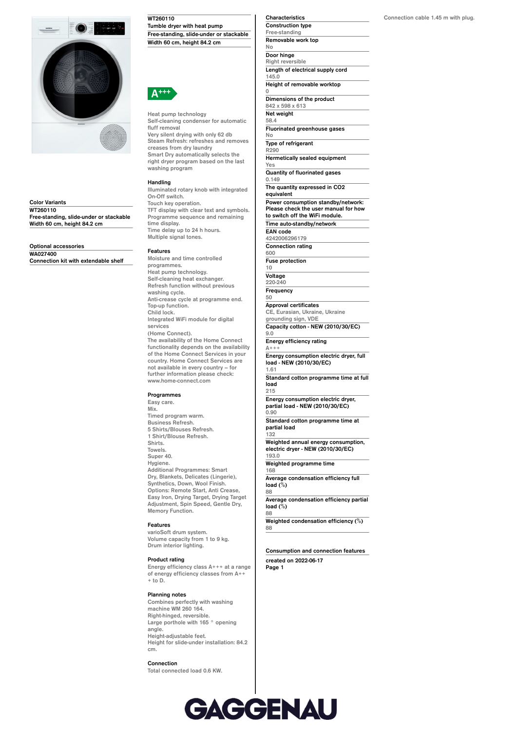

**Color Variants WT260110 Free-standing, slide-under or stackable Width 60 cm, height 84.2 cm**

**Optional accessories WA027400 Connection kit with extendable shelf** **WT260110 Tumble dryer with heat pump Free-standing, slide-under or stackable Width 60 cm, height 84.2 cm**



**Heat pump technology Self-cleaning condenser for automatic fluff removal Very silent drying with only 62 db Steam Refresh: refreshes and removes creases from dry laundry Smart Dry automatically selects the right dryer program based on the last washing program**

## **Handling**

**Illuminated rotary knob with integrated On-Off switch. Touch key operation. TFT display with clear text and symbols. Programme sequence and remaining time display. Time delay up to 24 h hours. Multiple signal tones.**

#### **Features**

**Moisture and time controlled programmes. Heat pump technology. Self-cleaning heat exchanger. Refresh function without previous washing cycle. Anti-crease cycle at programme end. Top-up function. Child lock. Integrated WiFi module for digital services (Home Connect). The availability of the Home Connect functionality depends on the availability of the Home Connect Services in your country. Home Connect Services are not available in every country – for further information please check:**

### **Programmes**

**www.home-connect.com**

**Easy care.**

**Mix. Timed program warm. Business Refresh. 5 Shirts/Blouses Refresh. 1 Shirt/Blouse Refresh. Shirts. Towels. Super 40. Hygiene. Additional Programmes: Smart Dry, Blankets, Delicates (Lingerie), Synthetics, Down, Wool Finish. Options: Remote Start, Anti Crease, Easy Iron, Drying Target, Drying Target Adjustment, Spin Speed, Gentle Dry, Memory Function.**

#### **Features**

**varioSoft drum system. Volume capacity from 1 to 9 kg. Drum interior lighting.**

#### **Product rating**

**Energy efficiency class A+++ at a range of energy efficiency classes from A++ + to D.**

#### **Planning notes**

**Combines perfectly with washing machine WM 260 164. Right-hinged, reversible. Large porthole with 165 ° opening angle. Height-adjustable feet. Height for slide-under installation: 84.2 cm.**

### **Connection**

**Total connected load 0.6 KW.**

**Characteristics Construction type Free-standing Removable work top No Door hinge Right reversible Length of electrical supply cord 145.0 Height of removable worktop 0 Dimensions of the product 842 x 598 x 613**

**Net weight 58.4 Fluorinated greenhouse gases**

**No Type of refrigerant**

**R290 Hermetically sealed equipment**

**Yes Quantity of fluorinated gases**

**0.149 The quantity expressed in CO2**

**equivalent Power consumption standby/network:**

**Please check the user manual for how to switch off the WiFi module. Time auto-standby/network**

**EAN code 4242006296179**

**Connection rating 600**

**Fuse protection**

**10 Voltage 220-240**

**Frequency 50**

**Approval certificates CE, Eurasian, Ukraine, Ukraine**

**grounding sign, VDE Capacity cotton - NEW (2010/30/EC) 9.0**

**Energy efficiency rating A+++**

**Energy consumption electric dryer, full load - NEW (2010/30/EC) 1.61**

**Standard cotton programme time at full load 215**

**Energy consumption electric dryer, partial load - NEW (2010/30/EC) 0.90**

**Standard cotton programme time at partial load 132**

**Weighted annual energy consumption, electric dryer - NEW (2010/30/EC) 193.0**

**Weighted programme time 168**

**Average condensation efficiency full load (%) 88**

**Average condensation efficiency partial load (%)**

**88**

**Weighted condensation efficiency (%) 88**

**Consumption and connection features created on 2022-06-17 Page 1**